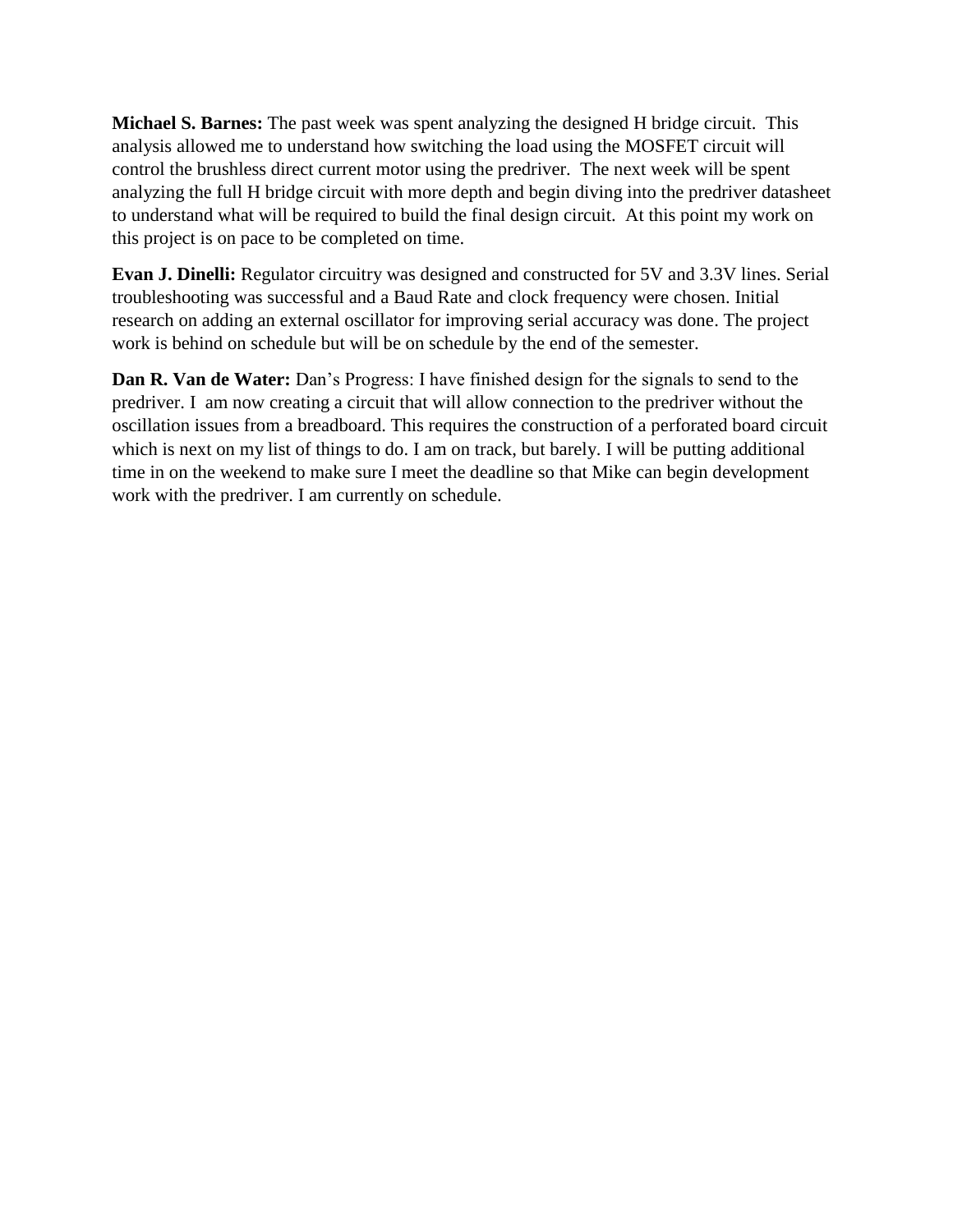**Michael S. Barnes:** The past week was spent analyzing the designed H bridge circuit. This analysis allowed me to understand how switching the load using the MOSFET circuit will control the brushless direct current motor using the predriver. The next week will be spent analyzing the full H bridge circuit with more depth and begin diving into the predriver datasheet to understand what will be required to build the final design circuit. At this point my work on this project is on pace to be completed on time.

**Evan J. Dinelli:** Regulator circuitry was designed and constructed for 5V and 3.3V lines. Serial troubleshooting was successful and a Baud Rate and clock frequency were chosen. Initial research on adding an external oscillator for improving serial accuracy was done. The project work is behind on schedule but will be on schedule by the end of the semester.

**Dan R. Van de Water:** Dan's Progress: I have finished design for the signals to send to the predriver. I am now creating a circuit that will allow connection to the predriver without the oscillation issues from a breadboard. This requires the construction of a perforated board circuit which is next on my list of things to do. I am on track, but barely. I will be putting additional time in on the weekend to make sure I meet the deadline so that Mike can begin development work with the predriver. I am currently on schedule.